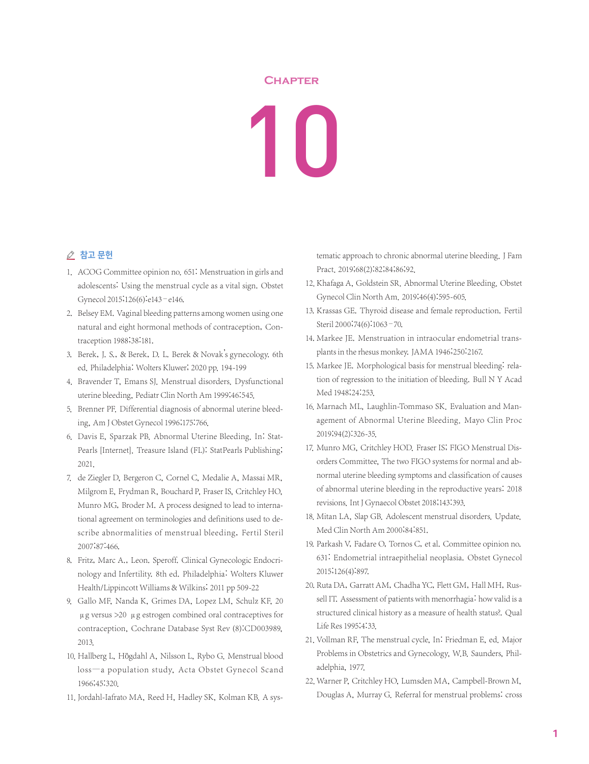## **Chapter**

10

## △ 참고 문헌

- 1. ACOG Committee opinion no. 651: Menstruation in girls and adolescents: Using the menstrual cycle as a vital sign. Obstet Gynecol 2015;126(6):e143–e146.
- 2. Belsey EM. Vaginal bleeding patterns among women using one natural and eight hormonal methods of contraception, Contraception 1988;38:181.
- 3. Berek, J. S., & Berek, D. L. Berek & Novak's gynecology. 6th ed. Philadelphia: Wolters Kluwer; 2020 pp. 194-199
- 4. Bravender T, Emans SJ. Menstrual disorders. Dysfunctional uterine bleeding, Pediatr Clin North Am 1999;46:545.
- 5. Brenner PF. Differential diagnosis of abnormal uterine bleeding, Am J Obstet Gynecol 1996;175:766.
- 6. Davis E, Sparzak PB. Abnormal Uterine Bleeding. In: Stat-Pearls [Internet]. Treasure Island (FL): StatPearls Publishing; 2021.
- 7. de Ziegler D, Bergeron C, Cornel C, Medalie A, Massai MR, Milgrom E, Frydman R, Bouchard P, Fraser IS, Critchley HO, Munro MG, Broder M. A process designed to lead to international agreement on terminologies and definitions used to describe abnormalities of menstrual bleeding, Fertil Steril 2007;87:466.
- 8. Fritz, Marc A., Leon. Speroff. Clinical Gynecologic Endocrinology and Infertility. 8th ed. Philadelphia: Wolters Kluwer Health/Lippincott Williams & Wilkins; 2011 pp 509-22
- 9. Gallo MF, Nanda K, Grimes DA, Lopez LM, Schulz KF, 20 μg versus >20 μg estrogen combined oral contraceptives for contraception, Cochrane Database Syst Rev (8):CD003989, 2013.
- 10. Hallberg L, Högdahl A, Nilsson L, Rybo G. Menstrual blood loss—a population study, Acta Obstet Gynecol Scand 1966;45:320.
- 11. Jordahl-Iafrato MA, Reed H, Hadley SK, Kolman KB. A sys-

tematic approach to chronic abnormal uterine bleeding. J Fam Pract. 2019;68(2):82;84;86;92.

- 12. Khafaga A, Goldstein SR. Abnormal Uterine Bleeding. Obstet Gynecol Clin North Am. 2019;46(4):595-605.
- 13. Krassas GE. Thyroid disease and female reproduction. Fertil Steril 2000;74(6):1063–70.
- 14. Markee JE. Menstruation in intraocular endometrial transplants in the rhesus monkey. JAMA 1946;250:2167.
- 15. Markee JE. Morphological basis for menstrual bleeding: relation of regression to the initiation of bleeding. Bull N Y Acad Med 1948;24:253.
- 16. Marnach ML, Laughlin-Tommaso SK. Evaluation and Management of Abnormal Uterine Bleeding. Mayo Clin Proc 2019;94(2):326-35.
- 17. Munro MG, Critchley HOD. Fraser IS; FIGO Menstrual Disorders Committee, The two FIGO systems for normal and abnormal uterine bleeding symptoms and classification of causes of abnormal uterine bleeding in the reproductive years: 2018 revisions.Int J Gynaecol Obstet 2018;143:393.
- 18. Mitan LA, Slap GB. Adolescent menstrual disorders. Update. Med Clin North Am 2000;84:851.
- 19. Parkash V, Fadare O, Tornos C, et al. Committee opinion no. 631: Endometrial intraepithelial neoplasia. Obstet Gynecol 2015;126(4):897.
- 20. Ruta DA, Garratt AM, Chadha YC, Flett GM, Hall MH, Russell IT. Assessment of patients with menorrhagia: how valid is a structured clinical history as a measure of health status?. Qual Life Res 1995;4:33.
- 21. Vollman RF, The menstrual cycle, In: Friedman E, ed. Major Problems in Obstetrics and Gynecology, W.B. Saunders, Philadelphia, 1977.
- 22. Warner P, Critchley HO, Lumsden MA, Campbell-Brown M, Douglas A, Murray G. Referral for menstrual problems: cross